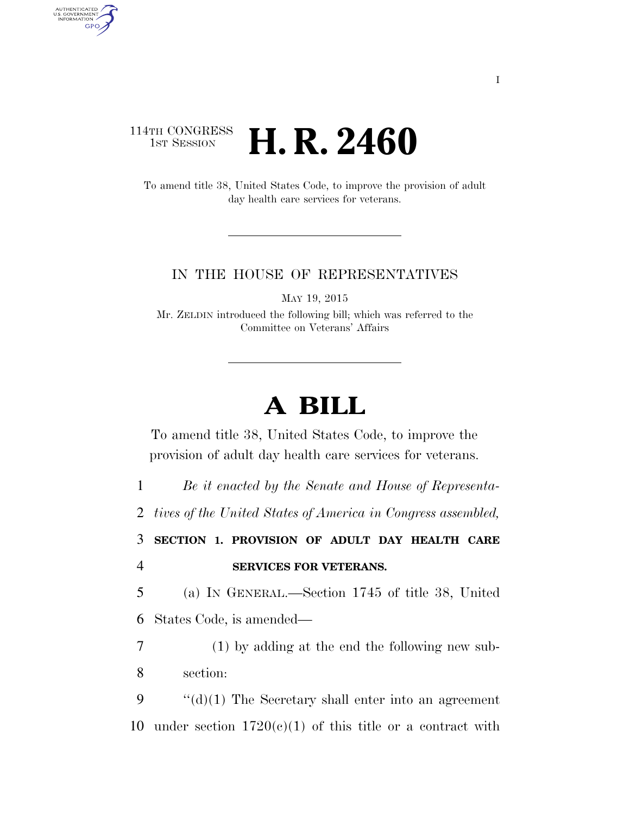## 114TH CONGRESS **1ST SESSION <b>H. R. 2460**

AUTHENTICATED<br>U.S. GOVERNMENT<br>INFORMATION GPO

> To amend title 38, United States Code, to improve the provision of adult day health care services for veterans.

## IN THE HOUSE OF REPRESENTATIVES

MAY 19, 2015

Mr. ZELDIN introduced the following bill; which was referred to the Committee on Veterans' Affairs

## **A BILL**

To amend title 38, United States Code, to improve the provision of adult day health care services for veterans.

1 *Be it enacted by the Senate and House of Representa-*

2 *tives of the United States of America in Congress assembled,* 

3 **SECTION 1. PROVISION OF ADULT DAY HEALTH CARE**  4 **SERVICES FOR VETERANS.** 

5 (a) IN GENERAL.—Section 1745 of title 38, United 6 States Code, is amended—

7 (1) by adding at the end the following new sub-8 section:

9  $\cdot$  "(d)(1) The Secretary shall enter into an agreement 10 under section  $1720(c)(1)$  of this title or a contract with